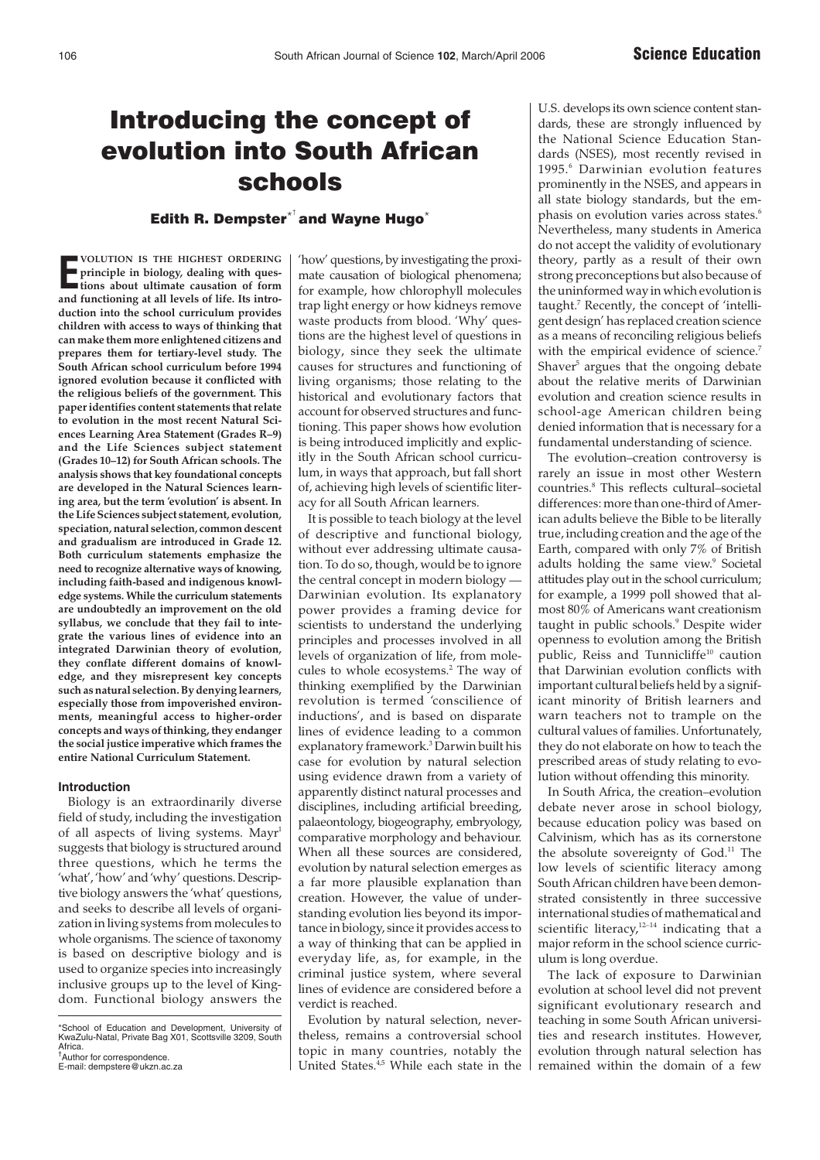# Introducing the concept of evolution into South African schools

## Edith R. Dempster $^{\star^{\dagger}}$ and Wayne Hugo $^{\star}$

**EVOLUTION IS THE HIGHEST ORDERING**<br>
principle in biology, dealing with ques-<br>
tions about ultimate causation of form **principle in biology, dealing with questions about ultimate causation of form and functioning at all levels of life. Its introduction into the school curriculum provides children with access to ways of thinking that can make them more enlightened citizens and prepares them for tertiary-level study. The South African school curriculum before 1994 ignored evolution because it conflicted with the religious beliefs of the government. This paper identifies content statements that relate to evolution in the most recent Natural Sciences Learning Area Statement (Grades R–9) and the Life Sciences subject statement (Grades 10–12) for South African schools. The analysis shows that key foundational concepts are developed in the Natural Sciences learning area, but the term 'evolution' is absent. In the Life Sciences subject statement, evolution, speciation, natural selection, common descent and gradualism are introduced in Grade 12. Both curriculum statements emphasize the need to recognize alternative ways of knowing, including faith-based and indigenous knowledge systems. While the curriculum statements are undoubtedly an improvement on the old syllabus, we conclude that they fail to integrate the various lines of evidence into an integrated Darwinian theory of evolution, they conflate different domains of knowledge, and they misrepresent key concepts such as natural selection. By denying learners, especially those from impoverished environments, meaningful access to higher-order concepts and ways of thinking, they endanger the social justice imperative which frames the entire National Curriculum Statement.**

## **Introduction**

Biology is an extraordinarily diverse field of study, including the investigation of all aspects of living systems. Mayr<sup>1</sup> suggests that biology is structured around three questions, which he terms the 'what', 'how' and 'why' questions. Descriptive biology answers the 'what' questions, and seeks to describe all levels of organization in living systems from molecules to whole organisms. The science of taxonomy is based on descriptive biology and is used to organize species into increasingly inclusive groups up to the level of Kingdom. Functional biology answers the

E-mail: dempstere@ukzn.ac.za

'how' questions, by investigating the proximate causation of biological phenomena; for example, how chlorophyll molecules trap light energy or how kidneys remove waste products from blood. 'Why' questions are the highest level of questions in biology, since they seek the ultimate causes for structures and functioning of living organisms; those relating to the historical and evolutionary factors that account for observed structures and functioning. This paper shows how evolution is being introduced implicitly and explicitly in the South African school curriculum, in ways that approach, but fall short of, achieving high levels of scientific literacy for all South African learners.

It is possible to teach biology at the level of descriptive and functional biology, without ever addressing ultimate causation. To do so, though, would be to ignore the central concept in modern biology — Darwinian evolution. Its explanatory power provides a framing device for scientists to understand the underlying principles and processes involved in all levels of organization of life, from molecules to whole ecosystems.<sup>2</sup> The way of thinking exemplified by the Darwinian revolution is termed 'conscilience of inductions', and is based on disparate lines of evidence leading to a common explanatory framework.3 Darwin built his case for evolution by natural selection using evidence drawn from a variety of apparently distinct natural processes and disciplines, including artificial breeding, palaeontology, biogeography, embryology, comparative morphology and behaviour. When all these sources are considered, evolution by natural selection emerges as a far more plausible explanation than creation. However, the value of understanding evolution lies beyond its importance in biology, since it provides access to a way of thinking that can be applied in everyday life, as, for example, in the criminal justice system, where several lines of evidence are considered before a verdict is reached.

Evolution by natural selection, nevertheless, remains a controversial school topic in many countries, notably the United States.<sup>4,5</sup> While each state in the

U.S. develops its own science content standards, these are strongly influenced by the National Science Education Standards (NSES), most recently revised in 1995.<sup>6</sup> Darwinian evolution features prominently in the NSES, and appears in all state biology standards, but the emphasis on evolution varies across states.<sup>6</sup> Nevertheless, many students in America do not accept the validity of evolutionary theory, partly as a result of their own strong preconceptions but also because of the uninformed way in which evolution is taught.7 Recently, the concept of 'intelligent design' has replaced creation science as a means of reconciling religious beliefs with the empirical evidence of science.<sup>7</sup> Shaver<sup>5</sup> argues that the ongoing debate about the relative merits of Darwinian evolution and creation science results in school-age American children being denied information that is necessary for a fundamental understanding of science.

The evolution–creation controversy is rarely an issue in most other Western countries.8 This reflects cultural–societal differences: more than one-third of American adults believe the Bible to be literally true, including creation and the age of the Earth, compared with only 7% of British adults holding the same view.<sup>9</sup> Societal attitudes play out in the school curriculum; for example, a 1999 poll showed that almost 80% of Americans want creationism taught in public schools.<sup>9</sup> Despite wider openness to evolution among the British public, Reiss and Tunnicliffe<sup>10</sup> caution that Darwinian evolution conflicts with important cultural beliefs held by a significant minority of British learners and warn teachers not to trample on the cultural values of families. Unfortunately, they do not elaborate on how to teach the prescribed areas of study relating to evolution without offending this minority.

In South Africa, the creation–evolution debate never arose in school biology, because education policy was based on Calvinism, which has as its cornerstone the absolute sovereignty of God.<sup>11</sup> The low levels of scientific literacy among South African children have been demonstrated consistently in three successive international studies of mathematical and scientific literacy, $12-14$  indicating that a major reform in the school science curriculum is long overdue.

The lack of exposure to Darwinian evolution at school level did not prevent significant evolutionary research and teaching in some South African universities and research institutes. However, evolution through natural selection has remained within the domain of a few

<sup>\*</sup>School of Education and Development, University of KwaZulu-Natal, Private Bag X01, Scottsville 3209, South Africa.

<sup>†</sup> Author for correspondence.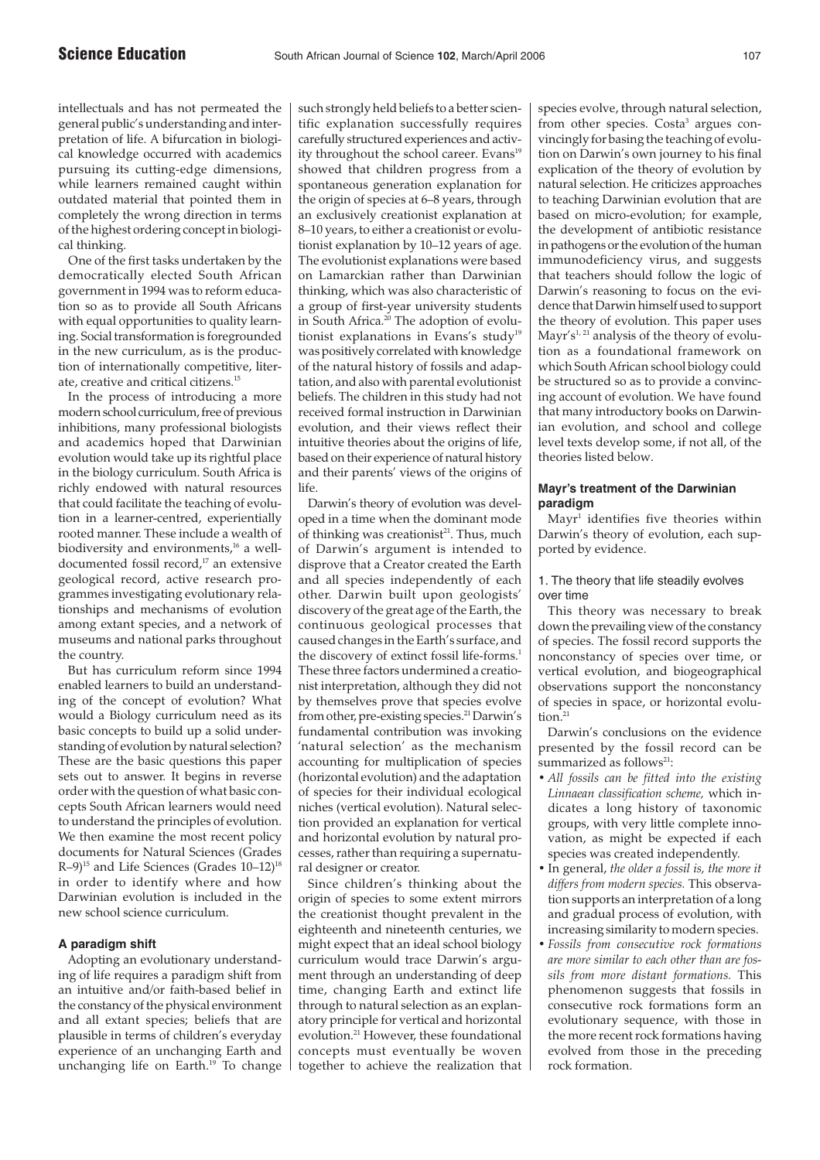intellectuals and has not permeated the general public's understanding and interpretation of life. A bifurcation in biological knowledge occurred with academics pursuing its cutting-edge dimensions, while learners remained caught within outdated material that pointed them in completely the wrong direction in terms of the highest ordering concept in biological thinking.

One of the first tasks undertaken by the democratically elected South African government in 1994 was to reform education so as to provide all South Africans with equal opportunities to quality learning. Social transformation is foregrounded in the new curriculum, as is the production of internationally competitive, literate, creative and critical citizens.15

In the process of introducing a more modern school curriculum, free of previous inhibitions, many professional biologists and academics hoped that Darwinian evolution would take up its rightful place in the biology curriculum. South Africa is richly endowed with natural resources that could facilitate the teaching of evolution in a learner-centred, experientially rooted manner. These include a wealth of biodiversity and environments,<sup>16</sup> a welldocumented fossil record,<sup>17</sup> an extensive geological record, active research programmes investigating evolutionary relationships and mechanisms of evolution among extant species, and a network of museums and national parks throughout the country.

But has curriculum reform since 1994 enabled learners to build an understanding of the concept of evolution? What would a Biology curriculum need as its basic concepts to build up a solid understanding of evolution by natural selection? These are the basic questions this paper sets out to answer. It begins in reverse order with the question of what basic concepts South African learners would need to understand the principles of evolution. We then examine the most recent policy documents for Natural Sciences (Grades R-9)<sup>15</sup> and Life Sciences (Grades 10-12)<sup>18</sup> in order to identify where and how Darwinian evolution is included in the new school science curriculum.

## **A paradigm shift**

Adopting an evolutionary understanding of life requires a paradigm shift from an intuitive and/or faith-based belief in the constancy of the physical environment and all extant species; beliefs that are plausible in terms of children's everyday experience of an unchanging Earth and unchanging life on Earth.<sup>19</sup> To change

such strongly held beliefs to a better scientific explanation successfully requires carefully structured experiences and activity throughout the school career. Evans<sup>19</sup> showed that children progress from a spontaneous generation explanation for the origin of species at 6–8 years, through an exclusively creationist explanation at 8–10 years, to either a creationist or evolutionist explanation by 10–12 years of age. The evolutionist explanations were based on Lamarckian rather than Darwinian thinking, which was also characteristic of a group of first-year university students in South Africa.<sup>20</sup> The adoption of evolutionist explanations in Evans's study<sup>19</sup> was positively correlated with knowledge of the natural history of fossils and adaptation, and also with parental evolutionist beliefs. The children in this study had not received formal instruction in Darwinian evolution, and their views reflect their intuitive theories about the origins of life, based on their experience of natural history and their parents' views of the origins of life.

Darwin's theory of evolution was developed in a time when the dominant mode of thinking was creationist<sup>21</sup>. Thus, much of Darwin's argument is intended to disprove that a Creator created the Earth and all species independently of each other. Darwin built upon geologists' discovery of the great age of the Earth, the continuous geological processes that caused changes in the Earth's surface, and the discovery of extinct fossil life-forms.<sup>1</sup> These three factors undermined a creationist interpretation, although they did not by themselves prove that species evolve from other, pre-existing species.<sup>21</sup> Darwin's fundamental contribution was invoking 'natural selection' as the mechanism accounting for multiplication of species (horizontal evolution) and the adaptation of species for their individual ecological niches (vertical evolution). Natural selection provided an explanation for vertical and horizontal evolution by natural processes, rather than requiring a supernatural designer or creator.

Since children's thinking about the origin of species to some extent mirrors the creationist thought prevalent in the eighteenth and nineteenth centuries, we might expect that an ideal school biology curriculum would trace Darwin's argument through an understanding of deep time, changing Earth and extinct life through to natural selection as an explanatory principle for vertical and horizontal evolution.21 However, these foundational concepts must eventually be woven together to achieve the realization that

species evolve, through natural selection, from other species. Costa<sup>3</sup> argues convincingly for basing the teaching of evolution on Darwin's own journey to his final explication of the theory of evolution by natural selection. He criticizes approaches to teaching Darwinian evolution that are based on micro-evolution; for example, the development of antibiotic resistance in pathogens or the evolution of the human immunodeficiency virus, and suggests that teachers should follow the logic of Darwin's reasoning to focus on the evidence that Darwin himself used to support the theory of evolution. This paper uses Mayr's<sup>1, 21</sup> analysis of the theory of evolution as a foundational framework on which South African school biology could be structured so as to provide a convincing account of evolution. We have found that many introductory books on Darwinian evolution, and school and college level texts develop some, if not all, of the theories listed below.

## **Mayr's treatment of the Darwinian paradigm**

Mayr<sup>1</sup> identifies five theories within Darwin's theory of evolution, each supported by evidence.

## 1. The theory that life steadily evolves over time

This theory was necessary to break down the prevailing view of the constancy of species. The fossil record supports the nonconstancy of species over time, or vertical evolution, and biogeographical observations support the nonconstancy of species in space, or horizontal evolu $t$ <sub>ion.</sub><sup>21</sup>

Darwin's conclusions on the evidence presented by the fossil record can be summarized as follows $21$ :

- *All fossils can be fitted into the existing Linnaean classification scheme,* which indicates a long history of taxonomic groups, with very little complete innovation, as might be expected if each species was created independently.
- In general, *the older a fossil is, the more it differs from modern species.* This observation supports an interpretation of a long and gradual process of evolution, with increasing similarity to modern species.
- *Fossils from consecutive rock formations are more similar to each other than are fossils from more distant formations.* This phenomenon suggests that fossils in consecutive rock formations form an evolutionary sequence, with those in the more recent rock formations having evolved from those in the preceding rock formation.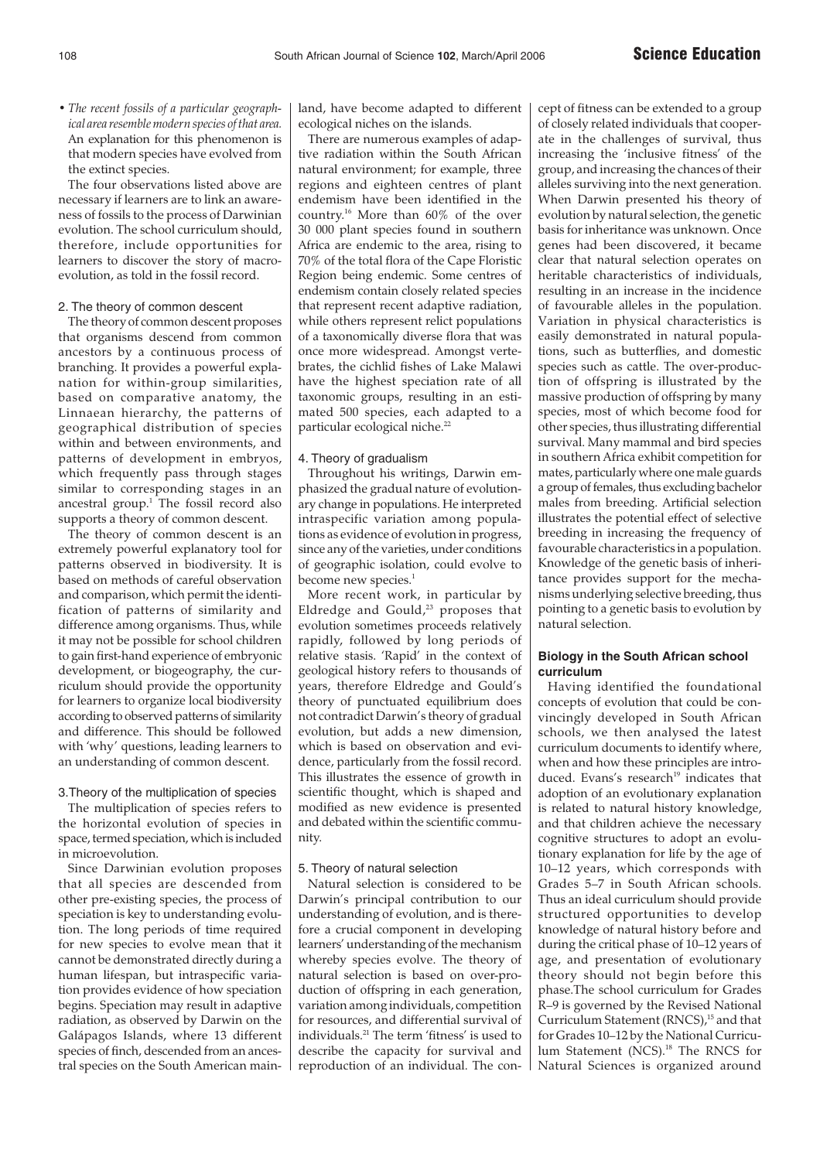• *The recent fossils of a particular geographical area resemble modern species of that area.* An explanation for this phenomenon is that modern species have evolved from the extinct species.

The four observations listed above are necessary if learners are to link an awareness of fossils to the process of Darwinian evolution. The school curriculum should, therefore, include opportunities for learners to discover the story of macroevolution, as told in the fossil record.

## 2. The theory of common descent

The theory of common descent proposes that organisms descend from common ancestors by a continuous process of branching. It provides a powerful explanation for within-group similarities, based on comparative anatomy, the Linnaean hierarchy, the patterns of geographical distribution of species within and between environments, and patterns of development in embryos, which frequently pass through stages similar to corresponding stages in an ancestral group.<sup>1</sup> The fossil record also supports a theory of common descent.

The theory of common descent is an extremely powerful explanatory tool for patterns observed in biodiversity. It is based on methods of careful observation and comparison, which permit the identification of patterns of similarity and difference among organisms. Thus, while it may not be possible for school children to gain first-hand experience of embryonic development, or biogeography, the curriculum should provide the opportunity for learners to organize local biodiversity according to observed patterns of similarity and difference. This should be followed with 'why' questions, leading learners to an understanding of common descent.

#### 3.Theory of the multiplication of species

The multiplication of species refers to the horizontal evolution of species in space, termed speciation, which is included in microevolution.

Since Darwinian evolution proposes that all species are descended from other pre-existing species, the process of speciation is key to understanding evolution. The long periods of time required for new species to evolve mean that it cannot be demonstrated directly during a human lifespan, but intraspecific variation provides evidence of how speciation begins. Speciation may result in adaptive radiation, as observed by Darwin on the Galápagos Islands, where 13 different species of finch, descended from an ancestral species on the South American mainland, have become adapted to different ecological niches on the islands.

There are numerous examples of adaptive radiation within the South African natural environment; for example, three regions and eighteen centres of plant endemism have been identified in the country.16 More than 60% of the over 30 000 plant species found in southern Africa are endemic to the area, rising to 70% of the total flora of the Cape Floristic Region being endemic. Some centres of endemism contain closely related species that represent recent adaptive radiation, while others represent relict populations of a taxonomically diverse flora that was once more widespread. Amongst vertebrates, the cichlid fishes of Lake Malawi have the highest speciation rate of all taxonomic groups, resulting in an estimated 500 species, each adapted to a particular ecological niche.<sup>22</sup>

## 4. Theory of gradualism

Throughout his writings, Darwin emphasized the gradual nature of evolutionary change in populations. He interpreted intraspecific variation among populations as evidence of evolution in progress, since any of the varieties, under conditions of geographic isolation, could evolve to become new species.<sup>1</sup>

More recent work, in particular by Eldredge and Gould, $23$  proposes that evolution sometimes proceeds relatively rapidly, followed by long periods of relative stasis. 'Rapid' in the context of geological history refers to thousands of years, therefore Eldredge and Gould's theory of punctuated equilibrium does not contradict Darwin's theory of gradual evolution, but adds a new dimension, which is based on observation and evidence, particularly from the fossil record. This illustrates the essence of growth in scientific thought, which is shaped and modified as new evidence is presented and debated within the scientific community.

#### 5. Theory of natural selection

Natural selection is considered to be Darwin's principal contribution to our understanding of evolution, and is therefore a crucial component in developing learners' understanding of the mechanism whereby species evolve. The theory of natural selection is based on over-production of offspring in each generation, variation among individuals, competition for resources, and differential survival of individuals.21 The term 'fitness' is used to describe the capacity for survival and reproduction of an individual. The con-

cept of fitness can be extended to a group of closely related individuals that cooperate in the challenges of survival, thus increasing the 'inclusive fitness' of the group, and increasing the chances of their alleles surviving into the next generation. When Darwin presented his theory of evolution by natural selection, the genetic basis for inheritance was unknown. Once genes had been discovered, it became clear that natural selection operates on heritable characteristics of individuals, resulting in an increase in the incidence of favourable alleles in the population. Variation in physical characteristics is easily demonstrated in natural populations, such as butterflies, and domestic species such as cattle. The over-production of offspring is illustrated by the massive production of offspring by many species, most of which become food for other species, thus illustrating differential survival. Many mammal and bird species in southern Africa exhibit competition for mates, particularly where one male guards a group of females, thus excluding bachelor males from breeding. Artificial selection illustrates the potential effect of selective breeding in increasing the frequency of favourable characteristics in a population. Knowledge of the genetic basis of inheritance provides support for the mechanisms underlying selective breeding, thus pointing to a genetic basis to evolution by natural selection.

## **Biology in the South African school curriculum**

Having identified the foundational concepts of evolution that could be convincingly developed in South African schools, we then analysed the latest curriculum documents to identify where, when and how these principles are introduced. Evans's research<sup>19</sup> indicates that adoption of an evolutionary explanation is related to natural history knowledge, and that children achieve the necessary cognitive structures to adopt an evolutionary explanation for life by the age of 10–12 years, which corresponds with Grades 5–7 in South African schools. Thus an ideal curriculum should provide structured opportunities to develop knowledge of natural history before and during the critical phase of 10–12 years of age, and presentation of evolutionary theory should not begin before this phase.The school curriculum for Grades R–9 is governed by the Revised National Curriculum Statement (RNCS),<sup>15</sup> and that for Grades 10–12 by the National Curriculum Statement (NCS).<sup>18</sup> The RNCS for Natural Sciences is organized around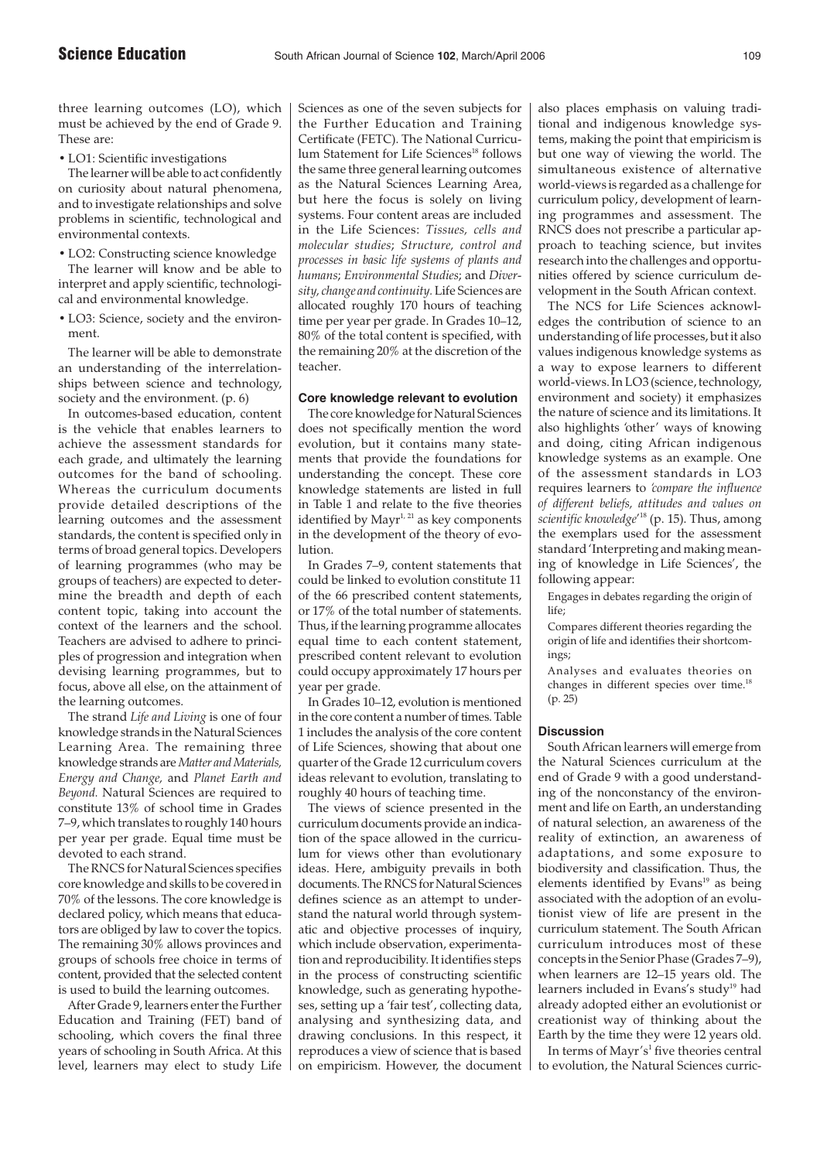three learning outcomes (LO), which must be achieved by the end of Grade 9. These are:

• LO1: Scientific investigations

The learner will be able to act confidently on curiosity about natural phenomena, and to investigate relationships and solve problems in scientific, technological and environmental contexts.

• LO2: Constructing science knowledge

The learner will know and be able to interpret and apply scientific, technological and environmental knowledge.

• LO3: Science, society and the environment.

The learner will be able to demonstrate an understanding of the interrelationships between science and technology, society and the environment. (p. 6)

In outcomes-based education, content is the vehicle that enables learners to achieve the assessment standards for each grade, and ultimately the learning outcomes for the band of schooling. Whereas the curriculum documents provide detailed descriptions of the learning outcomes and the assessment standards, the content is specified only in terms of broad general topics. Developers of learning programmes (who may be groups of teachers) are expected to determine the breadth and depth of each content topic, taking into account the context of the learners and the school. Teachers are advised to adhere to principles of progression and integration when devising learning programmes, but to focus, above all else, on the attainment of the learning outcomes.

The strand *Life and Living* is one of four knowledge strands in the Natural Sciences Learning Area. The remaining three knowledge strands are*Matter and Materials, Energy and Change,* and *Planet Earth and Beyond.* Natural Sciences are required to constitute 13% of school time in Grades 7–9, which translates to roughly 140 hours per year per grade. Equal time must be devoted to each strand.

The RNCS for Natural Sciences specifies core knowledge and skills to be covered in 70% of the lessons. The core knowledge is declared policy, which means that educators are obliged by law to cover the topics. The remaining 30% allows provinces and groups of schools free choice in terms of content, provided that the selected content is used to build the learning outcomes.

After Grade 9, learners enter the Further Education and Training (FET) band of schooling, which covers the final three years of schooling in South Africa. At this level, learners may elect to study Life Sciences as one of the seven subjects for the Further Education and Training Certificate (FETC). The National Curriculum Statement for Life Sciences<sup>18</sup> follows the same three general learning outcomes as the Natural Sciences Learning Area, but here the focus is solely on living systems. Four content areas are included in the Life Sciences: *Tissues, cells and molecular studies*; *Structure, control and processes in basic life systems of plants and humans*; *Environmental Studies*; and *Diversity, change and continuity.* Life Sciences are allocated roughly 170 hours of teaching time per year per grade. In Grades 10–12, 80% of the total content is specified, with the remaining 20% at the discretion of the teacher.

## **Core knowledge relevant to evolution**

The core knowledge for Natural Sciences does not specifically mention the word evolution, but it contains many statements that provide the foundations for understanding the concept. These core knowledge statements are listed in full in Table  $\tilde{1}$  and relate to the five theories identified by  $Mayr^{1, 21}$  as key components in the development of the theory of evolution.

In Grades 7–9, content statements that could be linked to evolution constitute 11 of the 66 prescribed content statements, or 17% of the total number of statements. Thus, if the learning programme allocates equal time to each content statement, prescribed content relevant to evolution could occupy approximately 17 hours per year per grade.

In Grades 10–12, evolution is mentioned in the core content a number of times. Table 1 includes the analysis of the core content of Life Sciences, showing that about one quarter of the Grade 12 curriculum covers ideas relevant to evolution, translating to roughly 40 hours of teaching time.

The views of science presented in the curriculum documents provide an indication of the space allowed in the curriculum for views other than evolutionary ideas. Here, ambiguity prevails in both documents. The RNCS for Natural Sciences defines science as an attempt to understand the natural world through systematic and objective processes of inquiry, which include observation, experimentation and reproducibility. It identifies steps in the process of constructing scientific knowledge, such as generating hypotheses, setting up a 'fair test', collecting data, analysing and synthesizing data, and drawing conclusions. In this respect, it reproduces a view of science that is based on empiricism. However, the document

also places emphasis on valuing traditional and indigenous knowledge systems, making the point that empiricism is but one way of viewing the world. The simultaneous existence of alternative world-views is regarded as a challenge for curriculum policy, development of learning programmes and assessment. The RNCS does not prescribe a particular approach to teaching science, but invites research into the challenges and opportunities offered by science curriculum development in the South African context.

The NCS for Life Sciences acknowledges the contribution of science to an understanding of life processes, but it also values indigenous knowledge systems as a way to expose learners to different world-views. In LO3 (science, technology, environment and society) it emphasizes the nature of science and its limitations. It also highlights 'other' ways of knowing and doing, citing African indigenous knowledge systems as an example. One of the assessment standards in LO3 requires learners to *'compare the influence of different beliefs, attitudes and values on scientific knowledge*' <sup>18</sup> (p. 15). Thus, among the exemplars used for the assessment standard 'Interpreting and making meaning of knowledge in Life Sciences', the following appear:

Engages in debates regarding the origin of life;

Compares different theories regarding the origin of life and identifies their shortcomings;

Analyses and evaluates theories on changes in different species over time.<sup>18</sup> (p. 25)

## **Discussion**

South African learners will emerge from the Natural Sciences curriculum at the end of Grade 9 with a good understanding of the nonconstancy of the environment and life on Earth, an understanding of natural selection, an awareness of the reality of extinction, an awareness of adaptations, and some exposure to biodiversity and classification. Thus, the elements identified by Evans<sup>19</sup> as being associated with the adoption of an evolutionist view of life are present in the curriculum statement. The South African curriculum introduces most of these concepts in the Senior Phase (Grades 7–9), when learners are 12–15 years old. The learners included in Evans's study<sup>19</sup> had already adopted either an evolutionist or creationist way of thinking about the Earth by the time they were 12 years old.

In terms of Mayr's<sup>1</sup> five theories central to evolution, the Natural Sciences curric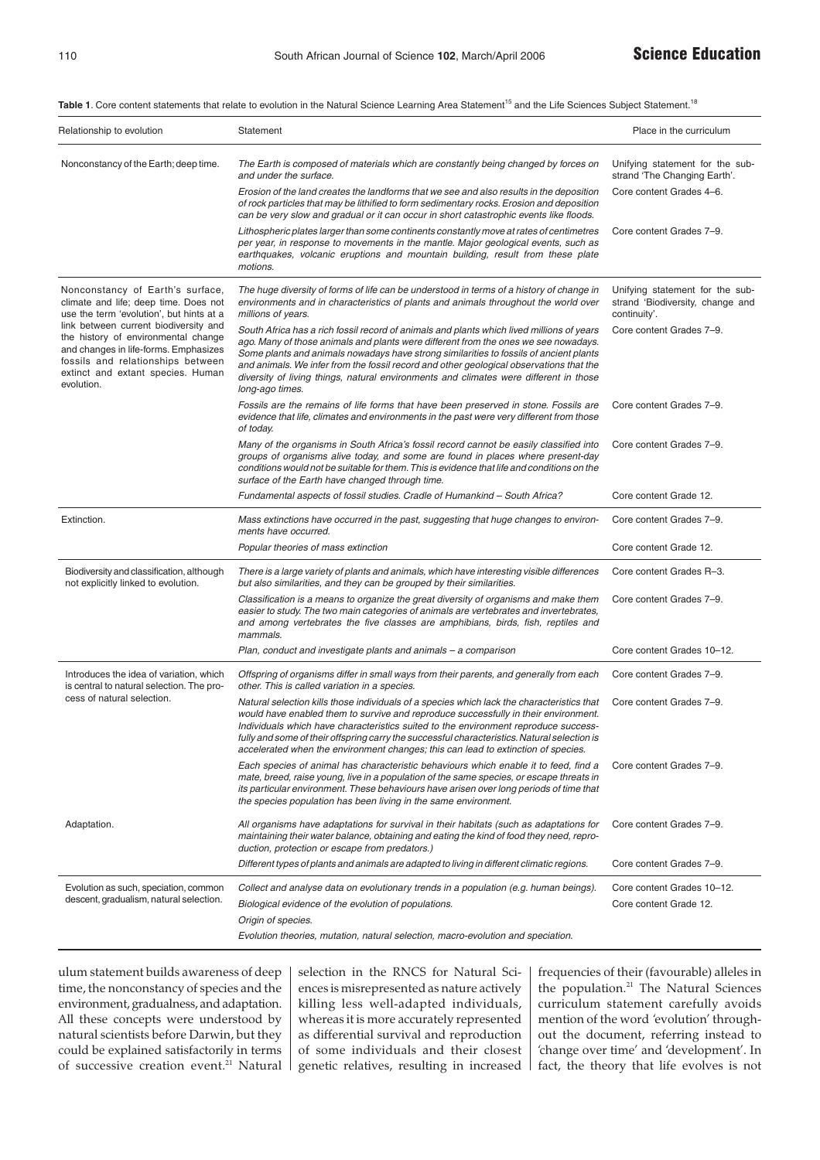Table 1. Core content statements that relate to evolution in the Natural Science Learning Area Statement<sup>15</sup> and the Life Sciences Subject Statement.<sup>18</sup>

| Relationship to evolution                                                                                                                                                                                                                                                                                                              | Statement                                                                                                                                                                                                                                                                                                                                                                                                                                                                         | Place in the curriculum                                                                     |
|----------------------------------------------------------------------------------------------------------------------------------------------------------------------------------------------------------------------------------------------------------------------------------------------------------------------------------------|-----------------------------------------------------------------------------------------------------------------------------------------------------------------------------------------------------------------------------------------------------------------------------------------------------------------------------------------------------------------------------------------------------------------------------------------------------------------------------------|---------------------------------------------------------------------------------------------|
| Nonconstancy of the Earth; deep time.                                                                                                                                                                                                                                                                                                  | The Earth is composed of materials which are constantly being changed by forces on<br>and under the surface.<br>Erosion of the land creates the landforms that we see and also results in the deposition<br>of rock particles that may be lithified to form sedimentary rocks. Erosion and deposition<br>can be very slow and gradual or it can occur in short catastrophic events like floods.                                                                                   | Unifying statement for the sub-<br>strand 'The Changing Earth'.<br>Core content Grades 4-6. |
|                                                                                                                                                                                                                                                                                                                                        | Lithospheric plates larger than some continents constantly move at rates of centimetres<br>per year, in response to movements in the mantle. Major geological events, such as<br>earthquakes, volcanic eruptions and mountain building, result from these plate<br>motions.                                                                                                                                                                                                       | Core content Grades 7-9.                                                                    |
| Nonconstancy of Earth's surface,<br>climate and life; deep time. Does not<br>use the term 'evolution', but hints at a<br>link between current biodiversity and<br>the history of environmental change<br>and changes in life-forms. Emphasizes<br>fossils and relationships between<br>extinct and extant species. Human<br>evolution. | The huge diversity of forms of life can be understood in terms of a history of change in<br>environments and in characteristics of plants and animals throughout the world over<br>millions of years.                                                                                                                                                                                                                                                                             | Unifying statement for the sub-<br>strand 'Biodiversity, change and<br>continuity'.         |
|                                                                                                                                                                                                                                                                                                                                        | South Africa has a rich fossil record of animals and plants which lived millions of years<br>ago. Many of those animals and plants were different from the ones we see nowadays.<br>Some plants and animals nowadays have strong similarities to fossils of ancient plants<br>and animals. We infer from the fossil record and other geological observations that the<br>diversity of living things, natural environments and climates were different in those<br>long-ago times. | Core content Grades 7-9.                                                                    |
|                                                                                                                                                                                                                                                                                                                                        | Fossils are the remains of life forms that have been preserved in stone. Fossils are<br>evidence that life, climates and environments in the past were very different from those<br>of today.                                                                                                                                                                                                                                                                                     | Core content Grades 7-9.                                                                    |
|                                                                                                                                                                                                                                                                                                                                        | Many of the organisms in South Africa's fossil record cannot be easily classified into<br>groups of organisms alive today, and some are found in places where present-day<br>conditions would not be suitable for them. This is evidence that life and conditions on the<br>surface of the Earth have changed through time.                                                                                                                                                       | Core content Grades 7-9.                                                                    |
|                                                                                                                                                                                                                                                                                                                                        | Fundamental aspects of fossil studies. Cradle of Humankind - South Africa?                                                                                                                                                                                                                                                                                                                                                                                                        | Core content Grade 12.                                                                      |
| Extinction.                                                                                                                                                                                                                                                                                                                            | Mass extinctions have occurred in the past, suggesting that huge changes to environ-<br>ments have occurred.                                                                                                                                                                                                                                                                                                                                                                      | Core content Grades 7-9.                                                                    |
|                                                                                                                                                                                                                                                                                                                                        | Popular theories of mass extinction                                                                                                                                                                                                                                                                                                                                                                                                                                               | Core content Grade 12.                                                                      |
| Biodiversity and classification, although<br>not explicitly linked to evolution.                                                                                                                                                                                                                                                       | There is a large variety of plants and animals, which have interesting visible differences<br>but also similarities, and they can be grouped by their similarities.                                                                                                                                                                                                                                                                                                               | Core content Grades R-3.                                                                    |
|                                                                                                                                                                                                                                                                                                                                        | Classification is a means to organize the great diversity of organisms and make them<br>easier to study. The two main categories of animals are vertebrates and invertebrates,<br>and among vertebrates the five classes are amphibians, birds, fish, reptiles and<br>mammals.                                                                                                                                                                                                    | Core content Grades 7-9.                                                                    |
|                                                                                                                                                                                                                                                                                                                                        | Plan, conduct and investigate plants and animals $-$ a comparison                                                                                                                                                                                                                                                                                                                                                                                                                 | Core content Grades 10-12.                                                                  |
| Introduces the idea of variation, which<br>is central to natural selection. The pro-<br>cess of natural selection.                                                                                                                                                                                                                     | Offspring of organisms differ in small ways from their parents, and generally from each<br>other. This is called variation in a species.                                                                                                                                                                                                                                                                                                                                          | Core content Grades 7-9.                                                                    |
|                                                                                                                                                                                                                                                                                                                                        | Natural selection kills those individuals of a species which lack the characteristics that<br>would have enabled them to survive and reproduce successfully in their environment.<br>Individuals which have characteristics suited to the environment reproduce success-<br>fully and some of their offspring carry the successful characteristics. Natural selection is<br>accelerated when the environment changes; this can lead to extinction of species.                     | Core content Grades 7-9.                                                                    |
|                                                                                                                                                                                                                                                                                                                                        | Each species of animal has characteristic behaviours which enable it to feed, find a<br>mate, breed, raise young, live in a population of the same species, or escape threats in<br>its particular environment. These behaviours have arisen over long periods of time that<br>the species population has been living in the same environment.                                                                                                                                    | Core content Grades 7-9.                                                                    |
| Adaptation.                                                                                                                                                                                                                                                                                                                            | All organisms have adaptations for survival in their habitats (such as adaptations for<br>maintaining their water balance, obtaining and eating the kind of food they need, repro-<br>duction, protection or escape from predators.)                                                                                                                                                                                                                                              | Core content Grades 7-9.                                                                    |
|                                                                                                                                                                                                                                                                                                                                        | Different types of plants and animals are adapted to living in different climatic regions.                                                                                                                                                                                                                                                                                                                                                                                        | Core content Grades 7-9.                                                                    |
| Evolution as such, speciation, common<br>descent, gradualism, natural selection.                                                                                                                                                                                                                                                       | Collect and analyse data on evolutionary trends in a population (e.g. human beings).<br>Biological evidence of the evolution of populations.<br>Origin of species.<br>Evolution theories, mutation, natural selection, macro-evolution and speciation.                                                                                                                                                                                                                            | Core content Grades 10-12.<br>Core content Grade 12.                                        |
|                                                                                                                                                                                                                                                                                                                                        |                                                                                                                                                                                                                                                                                                                                                                                                                                                                                   |                                                                                             |

ulum statement builds awareness of deep time, the nonconstancy of species and the environment, gradualness, and adaptation. All these concepts were understood by natural scientists before Darwin, but they could be explained satisfactorily in terms of successive creation event.<sup>21</sup> Natural selection in the RNCS for Natural Sciences is misrepresented as nature actively killing less well-adapted individuals, whereas it is more accurately represented as differential survival and reproduction of some individuals and their closest genetic relatives, resulting in increased frequencies of their (favourable) alleles in the population.21 The Natural Sciences curriculum statement carefully avoids mention of the word 'evolution' throughout the document, referring instead to 'change over time' and 'development'. In fact, the theory that life evolves is not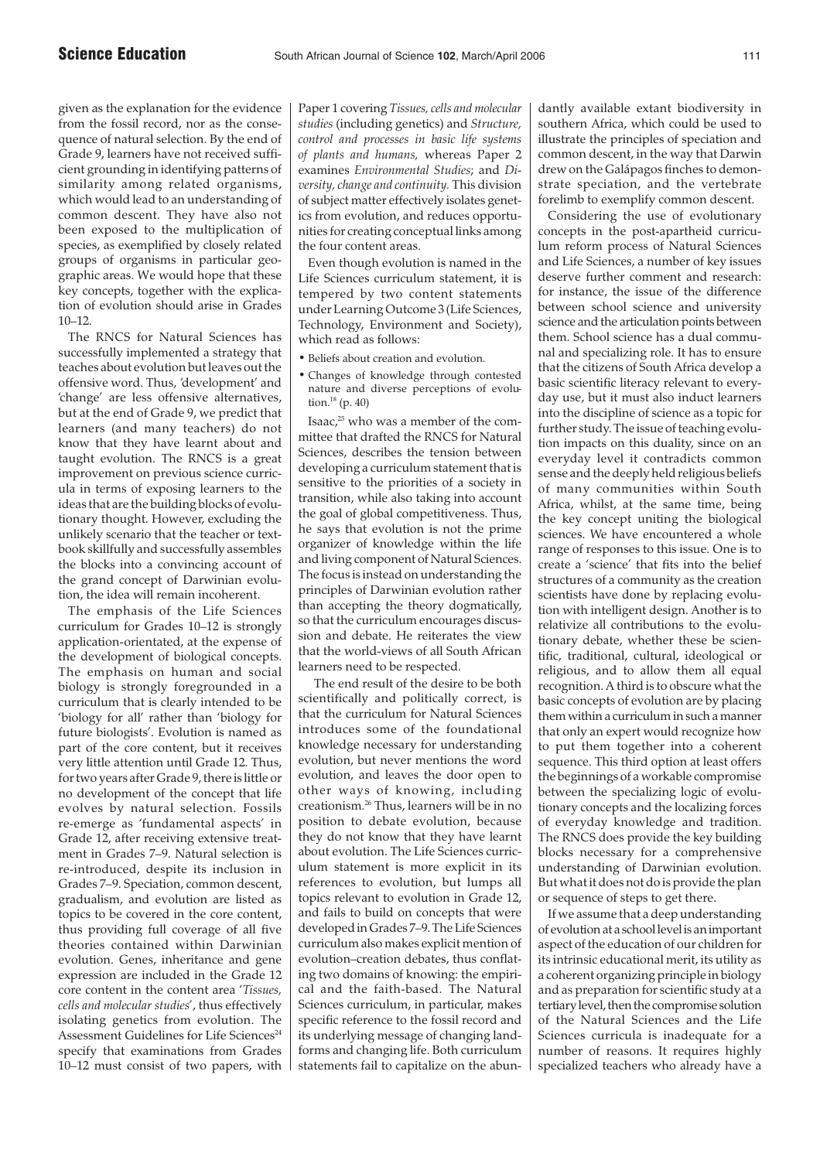given as the explanation for the evidence from the fossil record, nor as the consequence of natural selection. By the end of Grade 9, learners have not received sufficient grounding in identifying patterns of similarity among related organisms, which would lead to an understanding of common descent. They have also not been exposed to the multiplication of species, as exemplified by closely related groups of organisms in particular geographic areas. We would hope that these key concepts, together with the explication of evolution should arise in Grades 10–12.

The RNCS for Natural Sciences has successfully implemented a strategy that teaches about evolution but leaves out the offensive word. Thus, 'development' and 'change' are less offensive alternatives, but at the end of Grade 9, we predict that learners (and many teachers) do not know that they have learnt about and taught evolution. The RNCS is a great improvement on previous science curricula in terms of exposing learners to the ideas that are the building blocks of evolutionary thought. However, excluding the unlikely scenario that the teacher or textbook skillfully and successfully assembles the blocks into a convincing account of the grand concept of Darwinian evolution, the idea will remain incoherent.

The emphasis of the Life Sciences curriculum for Grades 10–12 is strongly application-orientated, at the expense of the development of biological concepts. The emphasis on human and social biology is strongly foregrounded in a curriculum that is clearly intended to be 'biology for all' rather than 'biology for future biologists'. Evolution is named as part of the core content, but it receives very little attention until Grade 12. Thus, for two years after Grade 9, there is little or no development of the concept that life evolves by natural selection. Fossils re-emerge as 'fundamental aspects' in Grade 12, after receiving extensive treatment in Grades 7–9. Natural selection is re-introduced, despite its inclusion in Grades 7–9. Speciation, common descent, gradualism, and evolution are listed as topics to be covered in the core content, thus providing full coverage of all five theories contained within Darwinian evolution. Genes, inheritance and gene expression are included in the Grade 12 core content in the content area '*Tissues, cells and molecular studies*', thus effectively isolating genetics from evolution. The Assessment Guidelines for Life Sciences<sup>24</sup> specify that examinations from Grades 10–12 must consist of two papers, with Paper 1 covering *Tissues, cells and molecular studies* (including genetics) and *Structure, control and processes in basic life systems of plants and humans,* whereas Paper 2 examines *Environmental Studies*; and *Diversity, change and continuity.* This division of subject matter effectively isolates genetics from evolution, and reduces opportunities for creating conceptual links among the four content areas.

Even though evolution is named in the Life Sciences curriculum statement, it is tempered by two content statements under Learning Outcome 3 (Life Sciences, Technology, Environment and Society), which read as follows:

- Beliefs about creation and evolution.
- Changes of knowledge through contested nature and diverse perceptions of evolution.<sup>18</sup> (p. 40)

Isaac, $25$  who was a member of the committee that drafted the RNCS for Natural Sciences, describes the tension between developing a curriculum statement that is sensitive to the priorities of a society in transition, while also taking into account the goal of global competitiveness. Thus, he says that evolution is not the prime organizer of knowledge within the life and living component of Natural Sciences. The focus is instead on understanding the principles of Darwinian evolution rather than accepting the theory dogmatically, so that the curriculum encourages discussion and debate. He reiterates the view that the world-views of all South African learners need to be respected.

The end result of the desire to be both scientifically and politically correct, is that the curriculum for Natural Sciences introduces some of the foundational knowledge necessary for understanding evolution, but never mentions the word evolution, and leaves the door open to other ways of knowing, including creationism.26 Thus, learners will be in no position to debate evolution, because they do not know that they have learnt about evolution. The Life Sciences curriculum statement is more explicit in its references to evolution, but lumps all topics relevant to evolution in Grade 12, and fails to build on concepts that were developed in Grades 7–9. The Life Sciences curriculum also makes explicit mention of evolution–creation debates, thus conflating two domains of knowing: the empirical and the faith-based. The Natural Sciences curriculum, in particular, makes specific reference to the fossil record and its underlying message of changing landforms and changing life. Both curriculum statements fail to capitalize on the abun-

dantly available extant biodiversity in southern Africa, which could be used to illustrate the principles of speciation and common descent, in the way that Darwin drew on the Galápagos finches to demonstrate speciation, and the vertebrate forelimb to exemplify common descent.

Considering the use of evolutionary concepts in the post-apartheid curriculum reform process of Natural Sciences and Life Sciences, a number of key issues deserve further comment and research: for instance, the issue of the difference between school science and university science and the articulation points between them. School science has a dual communal and specializing role. It has to ensure that the citizens of South Africa develop a basic scientific literacy relevant to everyday use, but it must also induct learners into the discipline of science as a topic for further study. The issue of teaching evolution impacts on this duality, since on an everyday level it contradicts common sense and the deeply held religious beliefs of many communities within South Africa, whilst, at the same time, being the key concept uniting the biological sciences. We have encountered a whole range of responses to this issue. One is to create a 'science' that fits into the belief structures of a community as the creation scientists have done by replacing evolution with intelligent design. Another is to relativize all contributions to the evolutionary debate, whether these be scientific, traditional, cultural, ideological or religious, and to allow them all equal recognition. A third is to obscure what the basic concepts of evolution are by placing them within a curriculum in such a manner that only an expert would recognize how to put them together into a coherent sequence. This third option at least offers the beginnings of a workable compromise between the specializing logic of evolutionary concepts and the localizing forces of everyday knowledge and tradition. The RNCS does provide the key building blocks necessary for a comprehensive understanding of Darwinian evolution. But what it does not do is provide the plan or sequence of steps to get there.

If we assume that a deep understanding of evolution at a school level is an important aspect of the education of our children for its intrinsic educational merit, its utility as a coherent organizing principle in biology and as preparation for scientific study at a tertiary level, then the compromise solution of the Natural Sciences and the Life Sciences curricula is inadequate for a number of reasons. It requires highly specialized teachers who already have a